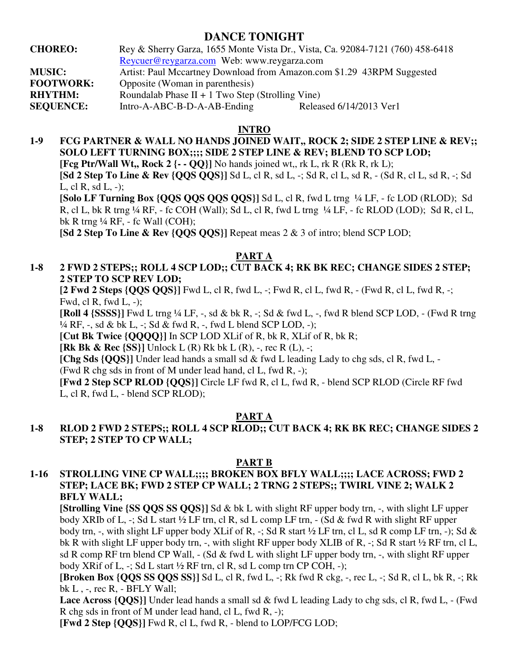# **DANCE TONIGHT**

**CHOREO:** Rey & Sherry Garza, 1655 Monte Vista Dr., Vista, Ca. 92084-7121 (760) 458-6418 Reycuer@reygarza.com Web: www.reygarza.com **MUSIC:** Artist: Paul Mccartney Download from Amazon.com \$1.29 43RPM Suggested **FOOTWORK:** Opposite (Woman in parenthesis) **RHYTHM:** Roundalab Phase II + 1 Two Step (Strolling Vine) **SEQUENCE:** Intro-A-ABC-B-D-A-AB-Ending Released 6/14/2013 Ver1

#### **INTRO**

**1-9 FCG PARTNER & WALL NO HANDS JOINED WAIT,, ROCK 2; SIDE 2 STEP LINE & REV;; SOLO LEFT TURNING BOX;;;; SIDE 2 STEP LINE & REV; BLEND TO SCP LOD; [Fcg Ptr/Wall Wt., Rock 2**  $\{-$  **- OO}]** No hands joined wt., rk L, rk R (Rk R, rk L); **[Sd 2 Step To Line & Rev {QQS QQS}]** Sd L, cl R, sd L, -; Sd R, cl L, sd R, - (Sd R, cl L, sd R, -; Sd L, cl R, sd L, -); **[Solo LF Turning Box {QQS QQS QQS QQS}]** Sd L, cl R, fwd L trng ¼ LF, - fc LOD (RLOD); Sd

 R, cl L, bk R trng ¼ RF, - fc COH (Wall); Sd L, cl R, fwd L trng ¼ LF, - fc RLOD (LOD); Sd R, cl L, bk R trng ¼ RF, - fc Wall (COH);

 **[Sd 2 Step To Line & Rev {QQS QQS}]** Repeat meas 2 & 3 of intro; blend SCP LOD;

## **PART A**

# **1-8 2 FWD 2 STEPS;; ROLL 4 SCP LOD;; CUT BACK 4; RK BK REC; CHANGE SIDES 2 STEP; 2 STEP TO SCP REV LOD;**

 **[2 Fwd 2 Steps {QQS QQS}]** Fwd L, cl R, fwd L, -; Fwd R, cl L, fwd R, - (Fwd R, cl L, fwd R, -; Fwd, cl R, fwd L, -);

 **[Roll 4 {SSSS}]** Fwd L trng ¼ LF, -, sd & bk R, -; Sd & fwd L, -, fwd R blend SCP LOD, - (Fwd R trng  $\frac{1}{4}$  RF, -, sd & bk L, -; Sd & fwd R, -, fwd L blend SCP LOD, -);

**[Cut Bk Twice {QQQQ}]** In SCP LOD XLif of R, bk R, XLif of R, bk R;

**[Rk Bk & Rec {SS}]** Unlock L (R) Rk bk L (R), -, rec R (L), -;

**[Chg Sds {QQS}]** Under lead hands a small sd & fwd L leading Lady to chg sds, cl R, fwd L, -

(Fwd R chg sds in front of M under lead hand, cl L, fwd R, -);

**[Fwd 2 Step SCP RLOD {QQS}]** Circle LF fwd R, cl L, fwd R, - blend SCP RLOD (Circle RF fwd L, cl R, fwd L, - blend SCP RLOD);

## **PART A**

## **1-8 RLOD 2 FWD 2 STEPS;; ROLL 4 SCP RLOD;; CUT BACK 4; RK BK REC; CHANGE SIDES 2 STEP; 2 STEP TO CP WALL;**

#### **PART B**

## **1-16 STROLLING VINE CP WALL;;;; BROKEN BOX BFLY WALL;;;; LACE ACROSS; FWD 2 STEP; LACE BK; FWD 2 STEP CP WALL; 2 TRNG 2 STEPS;; TWIRL VINE 2; WALK 2 BFLY WALL;**

**[Strolling Vine {SS QQS SS QQS}]** Sd & bk L with slight RF upper body trn, -, with slight LF upper body XRIb of L,  $-$ ; Sd L start  $\frac{1}{2}$  LF trn, cl R, sd L comp LF trn,  $-$  (Sd & fwd R with slight RF upper body trn, -, with slight LF upper body XLif of R, -; Sd R start ½ LF trn, cl L, sd R comp LF trn, -); Sd & bk R with slight LF upper body trn, -, with slight RF upper body XLIB of R, -; Sd R start ½ RF trn, cl L, sd R comp RF trn blend CP Wall, - (Sd & fwd L with slight LF upper body trn, -, with slight RF upper body XRif of L, -; Sd L start ½ RF trn, cl R, sd L comp trn CP COH, -);

**[Broken Box {QQS SS QQS SS}]** Sd L, cl R, fwd L, -; Rk fwd R ckg, -, rec L, -; Sd R, cl L, bk R, -; Rk bk  $L$ ,  $-$ , rec  $R$ ,  $-$  BFLY Wall;

 **Lace Across {QQS}]** Under lead hands a small sd & fwd L leading Lady to chg sds, cl R, fwd L, - (Fwd R chg sds in front of M under lead hand, cl L, fwd R, -);

**[Fwd 2 Step {QQS}]** Fwd R, cl L, fwd R, - blend to LOP/FCG LOD;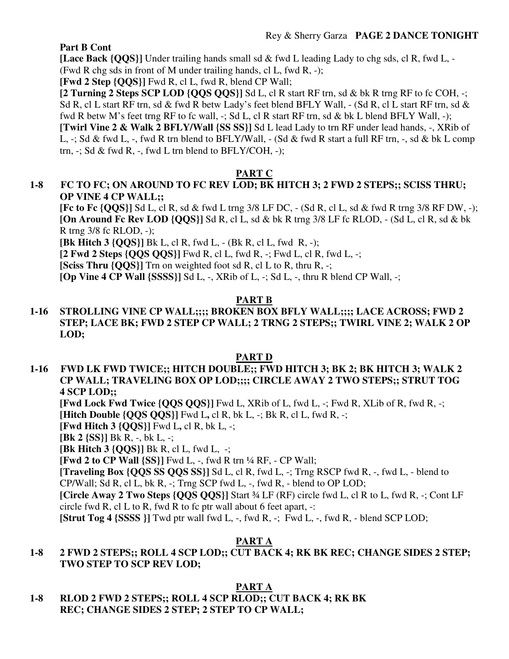## **Part B Cont**

 **[Lace Back {QQS}]** Under trailing hands small sd & fwd L leading Lady to chg sds, cl R, fwd L, - (Fwd R chg sds in front of M under trailing hands, cl L, fwd R, -);

 **[Fwd 2 Step {QQS}]** Fwd R, cl L, fwd R, blend CP Wall;

**[2 Turning 2 Steps SCP LOD {QQS QQS}]** Sd L, cl R start RF trn, sd & bk R trng RF to fc COH, -; Sd R, cl L start RF trn, sd & fwd R betw Lady's feet blend BFLY Wall, - (Sd R, cl L start RF trn, sd & fwd R betw M's feet trng RF to fc wall, -; Sd L, cl R start RF trn, sd & bk L blend BFLY Wall, -); **[Twirl Vine 2 & Walk 2 BFLY/Wall {SS SS}]** Sd L lead Lady to trn RF under lead hands, -, XRib of L,  $-$ ; Sd & fwd L,  $-$ , fwd R trn blend to BFLY/Wall,  $-$  (Sd & fwd R start a full RF trn,  $-$ , sd & bk L comp trn,  $-$ ; Sd & fwd R,  $-$ , fwd L trn blend to BFLY/COH,  $-$ );

# **PART C**

# **1-8 FC TO FC; ON AROUND TO FC REV LOD; BK HITCH 3; 2 FWD 2 STEPS;; SCISS THRU; OP VINE 4 CP WALL;;**

 **[Fc to Fc {QQS}]** Sd L, cl R, sd & fwd L trng 3/8 LF DC, - (Sd R, cl L, sd & fwd R trng 3/8 RF DW, -); **[On Around Fc Rev LOD {QQS}]** Sd R, cl L, sd & bk R trng 3/8 LF fc RLOD, - (Sd L, cl R, sd & bk R trng 3/8 fc RLOD, -);

**[Bk Hitch 3 {QQS}]** Bk L, cl R, fwd L, - (Bk R, cl L, fwd R, -);

**[2 Fwd 2 Steps {QQS QQS}]** Fwd R, cl L, fwd R, -; Fwd L, cl R, fwd L, -;

**[Sciss Thru {QQS}]** Trn on weighted foot sd R, cl L to R, thru R, -;

**[Op Vine 4 CP Wall {SSSS}]** Sd L, -, XRib of L, -; Sd L, -, thru R blend CP Wall, -;

## **PART B**

## **1-16 STROLLING VINE CP WALL;;;; BROKEN BOX BFLY WALL;;;; LACE ACROSS; FWD 2 STEP; LACE BK; FWD 2 STEP CP WALL; 2 TRNG 2 STEPS;; TWIRL VINE 2; WALK 2 OP LOD;**

## **PART D**

**1-16 FWD LK FWD TWICE;; HITCH DOUBLE;; FWD HITCH 3; BK 2; BK HITCH 3; WALK 2 CP WALL; TRAVELING BOX OP LOD;;;; CIRCLE AWAY 2 TWO STEPS;; STRUT TOG 4 SCP LOD;;** 

**[Fwd Lock Fwd Twice {QQS QQS}]** Fwd L, XRib of L, fwd L, -; Fwd R, XLib of R, fwd R, -; **[Hitch Double {QQS QQS}]** Fwd L**,** cl R, bk L, -; Bk R, cl L, fwd R, -;

**[Fwd Hitch 3 {QQS}]** Fwd L**,** cl R, bk L, -;

**[Bk 2 {SS}]** Bk R, -, bk L, -;

**[Bk Hitch 3 {QQS}]** Bk R, cl L, fwd L, -;

**[Fwd 2 to CP Wall {SS}]** Fwd L, -, fwd R trn ¼ RF, - CP Wall;

**[Traveling Box {QQS SS QQS SS}]** Sd L, cl R, fwd L, -; Trng RSCP fwd R, -, fwd L, - blend to CP/Wall; Sd R, cl L, bk R, -; Trng SCP fwd L, -, fwd R, - blend to OP LOD;

**[Circle Away 2 Two Steps {QQS QQS}]** Start ¾ LF (RF) circle fwd L, cl R to L, fwd R, -; Cont LF circle fwd R, cl L to R, fwd R to fc ptr wall about 6 feet apart,  $\cdot$ :

**[Strut Tog 4 {SSSS }]** Twd ptr wall fwd L, -, fwd R, -; Fwd L, -, fwd R, - blend SCP LOD;

# **PART A**

## **1-8 2 FWD 2 STEPS;; ROLL 4 SCP LOD;; CUT BACK 4; RK BK REC; CHANGE SIDES 2 STEP; TWO STEP TO SCP REV LOD;**

**PART A** 

**1-8 RLOD 2 FWD 2 STEPS;; ROLL 4 SCP RLOD;; CUT BACK 4; RK BK REC; CHANGE SIDES 2 STEP; 2 STEP TO CP WALL;**